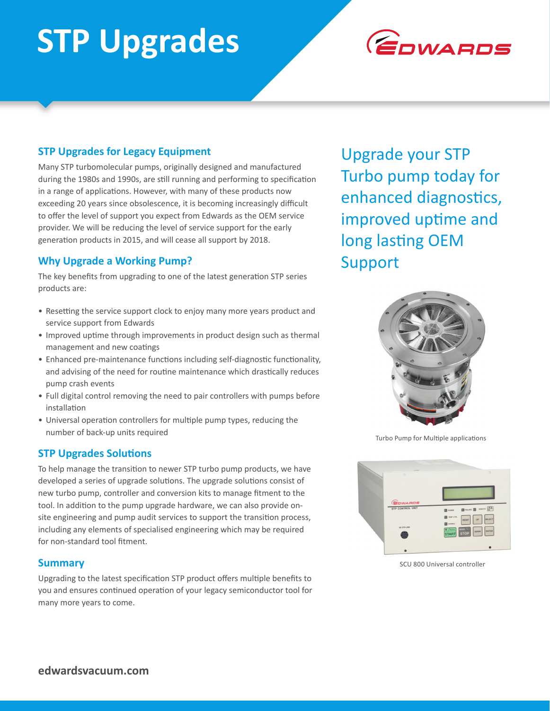# **STP Upgrades**



## **STP Upgrades for Legacy Equipment**

Many STP turbomolecular pumps, originally designed and manufactured during the 1980s and 1990s, are still running and performing to specification in a range of applications. However, with many of these products now exceeding 20 years since obsolescence, it is becoming increasingly difficult to offer the level of support you expect from Edwards as the OEM service provider. We will be reducing the level of service support for the early generation products in 2015, and will cease all support by 2018.

## **Why Upgrade a Working Pump?**

The key benefits from upgrading to one of the latest generation STP series products are:

- Resetting the service support clock to enjoy many more years product and service support from Edwards
- Improved uptime through improvements in product design such as thermal management and new coatings
- Enhanced pre-maintenance functions including self-diagnostic functionality, and advising of the need for routine maintenance which drastically reduces pump crash events
- Full digital control removing the need to pair controllers with pumps before installation
- Universal operation controllers for multiple pump types, reducing the number of back-up units required

### **STP Upgrades Solutions**

To help manage the transition to newer STP turbo pump products, we have developed a series of upgrade solutions. The upgrade solutions consist of new turbo pump, controller and conversion kits to manage fitment to the tool. In addition to the pump upgrade hardware, we can also provide onsite engineering and pump audit services to support the transition process, including any elements of specialised engineering which may be required for non-standard tool fitment.

### **Summary**

Upgrading to the latest specification STP product offers multiple benefits to you and ensures continued operation of your legacy semiconductor tool for many more years to come.

Upgrade your STP Turbo pump today for enhanced diagnostics, improved uptime and long lasting OEM Support



Turbo Pump for Multiple applications



SCU 800 Universal controller